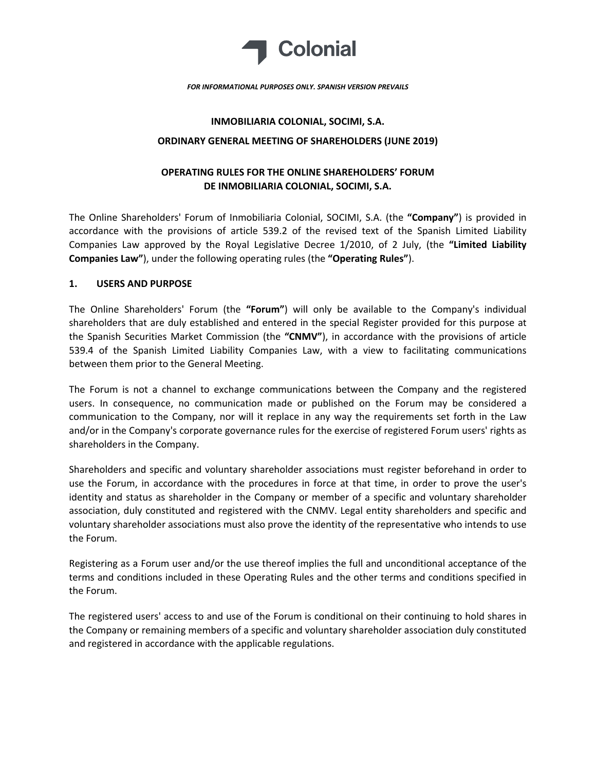

*FOR INFORMATIONAL PURPOSES ONLY. SPANISH VERSION PREVAILS*

# **INMOBILIARIA COLONIAL, SOCIMI, S.A. ORDINARY GENERAL MEETING OF SHAREHOLDERS (JUNE 2019)**

## **OPERATING RULES FOR THE ONLINE SHAREHOLDERS' FORUM DE INMOBILIARIA COLONIAL, SOCIMI, S.A.**

The Online Shareholders' Forum of Inmobiliaria Colonial, SOCIMI, S.A. (the **"Company"**) is provided in accordance with the provisions of article 539.2 of the revised text of the Spanish Limited Liability Companies Law approved by the Royal Legislative Decree 1/2010, of 2 July, (the **"Limited Liability Companies Law"**), under the following operating rules (the **"Operating Rules"**).

#### **1. USERS AND PURPOSE**

The Online Shareholders' Forum (the **"Forum"**) will only be available to the Company's individual shareholders that are duly established and entered in the special Register provided for this purpose at the Spanish Securities Market Commission (the **"CNMV"**), in accordance with the provisions of article 539.4 of the Spanish Limited Liability Companies Law, with a view to facilitating communications between them prior to the General Meeting.

The Forum is not a channel to exchange communications between the Company and the registered users. In consequence, no communication made or published on the Forum may be considered a communication to the Company, nor will it replace in any way the requirements set forth in the Law and/or in the Company's corporate governance rules for the exercise of registered Forum users' rights as shareholders in the Company.

Shareholders and specific and voluntary shareholder associations must register beforehand in order to use the Forum, in accordance with the procedures in force at that time, in order to prove the user's identity and status as shareholder in the Company or member of a specific and voluntary shareholder association, duly constituted and registered with the CNMV. Legal entity shareholders and specific and voluntary shareholder associations must also prove the identity of the representative who intends to use the Forum.

Registering as a Forum user and/or the use thereof implies the full and unconditional acceptance of the terms and conditions included in these Operating Rules and the other terms and conditions specified in the Forum.

The registered users' access to and use of the Forum is conditional on their continuing to hold shares in the Company or remaining members of a specific and voluntary shareholder association duly constituted and registered in accordance with the applicable regulations.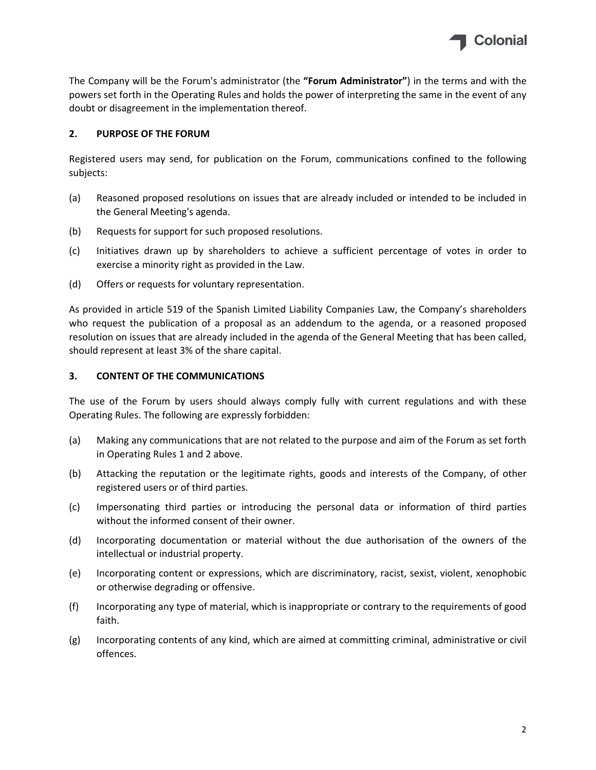

The Company will be the Forum's administrator (the **"Forum Administrator"**) in the terms and with the powers set forth in the Operating Rules and holds the power of interpreting the same in the event of any doubt or disagreement in the implementation thereof.

#### **2. PURPOSE OF THE FORUM**

Registered users may send, for publication on the Forum, communications confined to the following subjects:

- (a) Reasoned proposed resolutions on issues that are already included or intended to be included in the General Meeting's agenda.
- (b) Requests for support for such proposed resolutions.
- (c) Initiatives drawn up by shareholders to achieve a sufficient percentage of votes in order to exercise a minority right as provided in the Law.
- (d) Offers or requests for voluntary representation.

As provided in article 519 of the Spanish Limited Liability Companies Law, the Company's shareholders who request the publication of a proposal as an addendum to the agenda, or a reasoned proposed resolution on issues that are already included in the agenda of the General Meeting that has been called, should represent at least 3% of the share capital.

#### **3. CONTENT OF THE COMMUNICATIONS**

The use of the Forum by users should always comply fully with current regulations and with these Operating Rules. The following are expressly forbidden:

- (a) Making any communications that are not related to the purpose and aim of the Forum as set forth in Operating Rules 1 and 2 above.
- (b) Attacking the reputation or the legitimate rights, goods and interests of the Company, of other registered users or of third parties.
- (c) Impersonating third parties or introducing the personal data or information of third parties without the informed consent of their owner.
- (d) Incorporating documentation or material without the due authorisation of the owners of the intellectual or industrial property.
- (e) Incorporating content or expressions, which are discriminatory, racist, sexist, violent, xenophobic or otherwise degrading or offensive.
- (f) Incorporating any type of material, which is inappropriate or contrary to the requirements of good faith.
- (g) Incorporating contents of any kind, which are aimed at committing criminal, administrative or civil offences.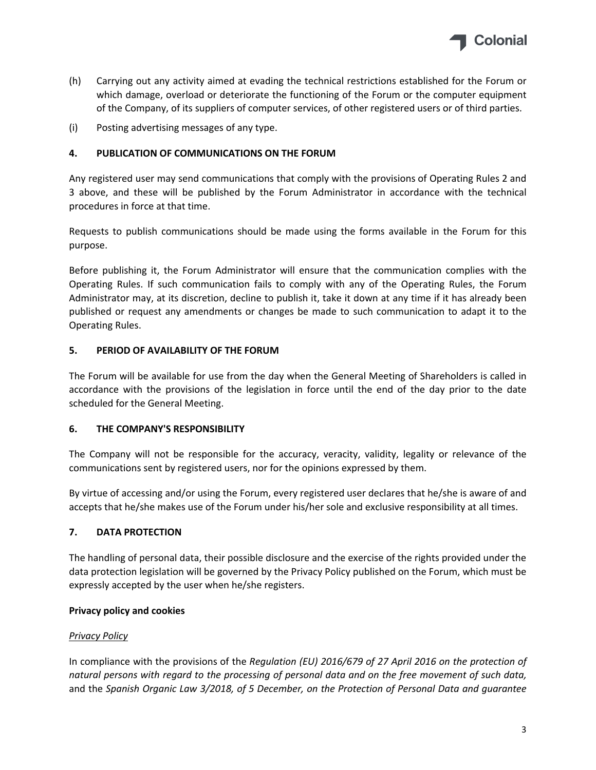

- (h) Carrying out any activity aimed at evading the technical restrictions established for the Forum or which damage, overload or deteriorate the functioning of the Forum or the computer equipment of the Company, of its suppliers of computer services, of other registered users or of third parties.
- (i) Posting advertising messages of any type.

### **4. PUBLICATION OF COMMUNICATIONS ON THE FORUM**

Any registered user may send communications that comply with the provisions of Operating Rules 2 and 3 above, and these will be published by the Forum Administrator in accordance with the technical procedures in force at that time.

Requests to publish communications should be made using the forms available in the Forum for this purpose.

Before publishing it, the Forum Administrator will ensure that the communication complies with the Operating Rules. If such communication fails to comply with any of the Operating Rules, the Forum Administrator may, at its discretion, decline to publish it, take it down at any time if it has already been published or request any amendments or changes be made to such communication to adapt it to the Operating Rules.

#### **5. PERIOD OF AVAILABILITY OF THE FORUM**

The Forum will be available for use from the day when the General Meeting of Shareholders is called in accordance with the provisions of the legislation in force until the end of the day prior to the date scheduled for the General Meeting.

#### **6. THE COMPANY'S RESPONSIBILITY**

The Company will not be responsible for the accuracy, veracity, validity, legality or relevance of the communications sent by registered users, nor for the opinions expressed by them.

By virtue of accessing and/or using the Forum, every registered user declares that he/she is aware of and accepts that he/she makes use of the Forum under his/her sole and exclusive responsibility at all times.

#### **7. DATA PROTECTION**

The handling of personal data, their possible disclosure and the exercise of the rights provided under the data protection legislation will be governed by the Privacy Policy published on the Forum, which must be expressly accepted by the user when he/she registers.

#### **Privacy policy and cookies**

#### <span id="page-2-0"></span>*Privacy Policy*

In compliance with the provisions of the *Regulation (EU) 2016/679 of 27 April 2016 on the protection of natural persons with regard to the processing of personal data and on the free movement of such data,* and the *Spanish Organic Law 3/2018, of 5 December, on the Protection of Personal Data and guarantee*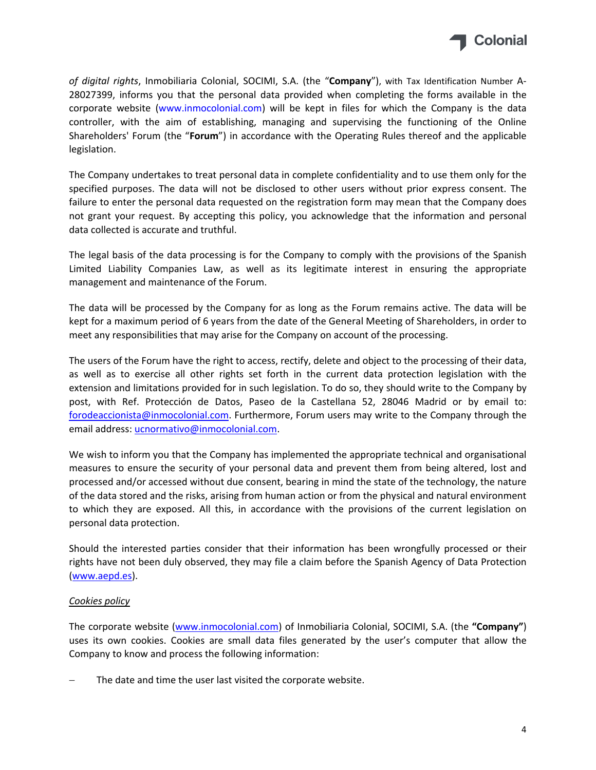

*of digital rights*, Inmobiliaria Colonial, SOCIMI, S.A. (the "**Company**"), with Tax Identification Number A-28027399, informs you that the personal data provided when completing the forms available in the corporate website [\(www.inmocolonial.com](http://www.inmocolonial.com/)) will be kept in files for which the Company is the data controller, with the aim of establishing, managing and supervising the functioning of the Online Shareholders' Forum (the "**Forum**") in accordance with the Operating Rules thereof and the applicable legislation.

The Company undertakes to treat personal data in complete confidentiality and to use them only for the specified purposes. The data will not be disclosed to other users without prior express consent. The failure to enter the personal data requested on the registration form may mean that the Company does not grant your request. By accepting this policy, you acknowledge that the information and personal data collected is accurate and truthful.

The legal basis of the data processing is for the Company to comply with the provisions of the Spanish Limited Liability Companies Law, as well as its legitimate interest in ensuring the appropriate management and maintenance of the Forum.

The data will be processed by the Company for as long as the Forum remains active. The data will be kept for a maximum period of 6 years from the date of the General Meeting of Shareholders, in order to meet any responsibilities that may arise for the Company on account of the processing.

The users of the Forum have the right to access, rectify, delete and object to the processing of their data, as well as to exercise all other rights set forth in the current data protection legislation with the extension and limitations provided for in such legislation. To do so, they should write to the Company by post, with Ref. Protección de Datos, Paseo de la Castellana 52, 28046 Madrid or by email to: [forodeaccionista@inmocolonial.com](mailto:forodeaccionista@inmocolonial.com). Furthermore, Forum users may write to the Company through the email address: [ucnormativo@inmocolonial.com.](mailto:ucnormativo@inmocolonial.com)

We wish to inform you that the Company has implemented the appropriate technical and organisational measures to ensure the security of your personal data and prevent them from being altered, lost and processed and/or accessed without due consent, bearing in mind the state of the technology, the nature of the data stored and the risks, arising from human action or from the physical and natural environment to which they are exposed. All this, in accordance with the provisions of the current legislation on personal data protection.

Should the interested parties consider that their information has been wrongfully processed or their rights have not been duly observed, they may file a claim before the Spanish Agency of Data Protection [\(www.aepd.es](http://www.aepd.es/)).

#### *Cookies policy*

The corporate website [\(www.inmocolonial.com](http://www.inmocolonial.com/)) of Inmobiliaria Colonial, SOCIMI, S.A. (the **"Company"**) uses its own cookies. Cookies are small data files generated by the user's computer that allow the Company to know and process the following information:

The date and time the user last visited the corporate website.